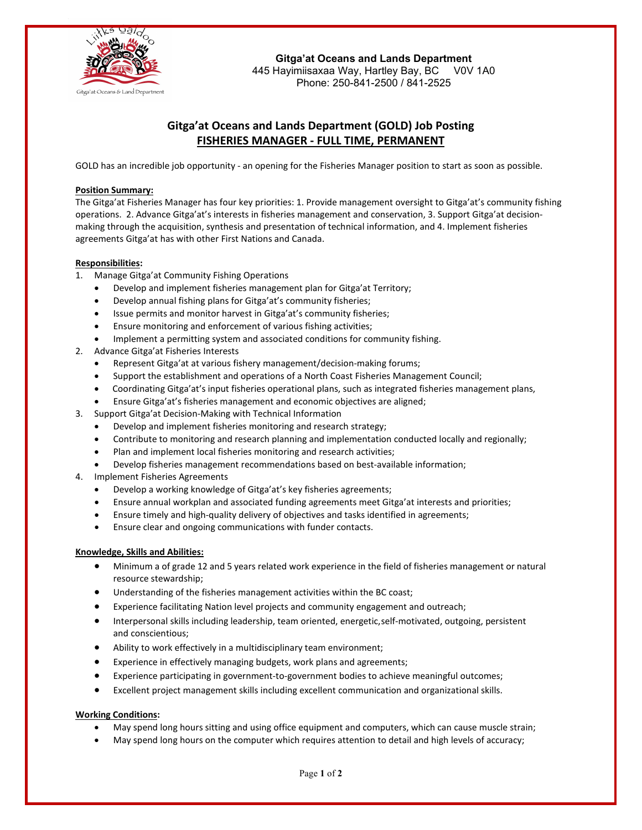

**Gitga'at Oceans and Lands Department** 445 Hayimiisaxaa Way, Hartley Bay, BC V0V 1A0 Phone: 250-841-2500 / 841-2525

# **Gitga'at Oceans and Lands Department (GOLD) Job Posting FISHERIES MANAGER - FULL TIME, PERMANENT**

GOLD has an incredible job opportunity - an opening for the Fisheries Manager position to start as soon as possible.

## **Position Summary:**

The Gitga'at Fisheries Manager has four key priorities: 1. Provide management oversight to Gitga'at's community fishing operations. 2. Advance Gitga'at's interests in fisheries management and conservation, 3. Support Gitga'at decisionmaking through the acquisition, synthesis and presentation of technical information, and 4. Implement fisheries agreements Gitga'at has with other First Nations and Canada.

## **Responsibilities:**

- 1. Manage Gitga'at Community Fishing Operations
	- Develop and implement fisheries management plan for Gitga'at Territory;
	- Develop annual fishing plans for Gitga'at's community fisheries;
	- Issue permits and monitor harvest in Gitga'at's community fisheries;
	- Ensure monitoring and enforcement of various fishing activities;
	- Implement a permitting system and associated conditions for community fishing.
- 2. Advance Gitga'at Fisheries Interests
	- Represent Gitga'at at various fishery management/decision-making forums;
	- Support the establishment and operations of a North Coast Fisheries Management Council;
	- Coordinating Gitga'at's input fisheries operational plans, such as integrated fisheries management plans,
	- Ensure Gitga'at's fisheries management and economic objectives are aligned;
- 3. Support Gitga'at Decision-Making with Technical Information
	- Develop and implement fisheries monitoring and research strategy;
	- Contribute to monitoring and research planning and implementation conducted locally and regionally;
	- Plan and implement local fisheries monitoring and research activities;
	- Develop fisheries management recommendations based on best-available information;
- 4. Implement Fisheries Agreements
	- Develop a working knowledge of Gitga'at's key fisheries agreements;
	- Ensure annual workplan and associated funding agreements meet Gitga'at interests and priorities;
	- Ensure timely and high-quality delivery of objectives and tasks identified in agreements;
	- Ensure clear and ongoing communications with funder contacts.

## **Knowledge, Skills and Abilities:**

- Minimum a of grade 12 and 5 years related work experience in the field of fisheries management or natural resource stewardship;
- Understanding of the fisheries management activities within the BC coast;
- Experience facilitating Nation level projects and community engagement and outreach;
- Interpersonal skills including leadership, team oriented, energetic,self-motivated, outgoing, persistent and conscientious;
- Ability to work effectively in a multidisciplinary team environment;
- Experience in effectively managing budgets, work plans and agreements;
- Experience participating in government-to-government bodies to achieve meaningful outcomes;
- Excellent project management skills including excellent communication and organizational skills.

## **Working Conditions:**

- May spend long hours sitting and using office equipment and computers, which can cause muscle strain;
- May spend long hours on the computer which requires attention to detail and high levels of accuracy;